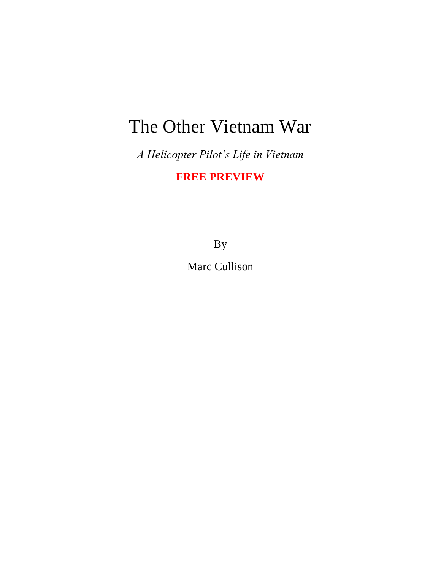# The Other Vietnam War

*A Helicopter Pilot's Life in Vietnam*

# **FREE PREVIEW**

By

Marc Cullison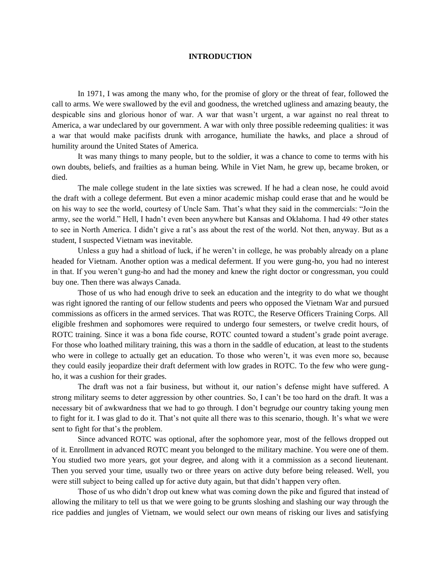#### **INTRODUCTION**

In 1971, I was among the many who, for the promise of glory or the threat of fear, followed the call to arms. We were swallowed by the evil and goodness, the wretched ugliness and amazing beauty, the despicable sins and glorious honor of war. A war that wasn't urgent, a war against no real threat to America, a war undeclared by our government. A war with only three possible redeeming qualities: it was a war that would make pacifists drunk with arrogance, humiliate the hawks, and place a shroud of humility around the United States of America.

It was many things to many people, but to the soldier, it was a chance to come to terms with his own doubts, beliefs, and frailties as a human being. While in Viet Nam, he grew up, became broken, or died.

The male college student in the late sixties was screwed. If he had a clean nose, he could avoid the draft with a college deferment. But even a minor academic mishap could erase that and he would be on his way to see the world, courtesy of Uncle Sam. That's what they said in the commercials: "Join the army, see the world." Hell, I hadn't even been anywhere but Kansas and Oklahoma. I had 49 other states to see in North America. I didn't give a rat's ass about the rest of the world. Not then, anyway. But as a student, I suspected Vietnam was inevitable.

Unless a guy had a shitload of luck, if he weren't in college, he was probably already on a plane headed for Vietnam. Another option was a medical deferment. If you were gung-ho, you had no interest in that. If you weren't gung-ho and had the money and knew the right doctor or congressman, you could buy one. Then there was always Canada.

Those of us who had enough drive to seek an education and the integrity to do what we thought was right ignored the ranting of our fellow students and peers who opposed the Vietnam War and pursued commissions as officers in the armed services. That was ROTC, the Reserve Officers Training Corps. All eligible freshmen and sophomores were required to undergo four semesters, or twelve credit hours, of ROTC training. Since it was a bona fide course, ROTC counted toward a student's grade point average. For those who loathed military training, this was a thorn in the saddle of education, at least to the students who were in college to actually get an education. To those who weren't, it was even more so, because they could easily jeopardize their draft deferment with low grades in ROTC. To the few who were gungho, it was a cushion for their grades.

The draft was not a fair business, but without it, our nation's defense might have suffered. A strong military seems to deter aggression by other countries. So, I can't be too hard on the draft. It was a necessary bit of awkwardness that we had to go through. I don't begrudge our country taking young men to fight for it. I was glad to do it. That's not quite all there was to this scenario, though. It's what we were sent to fight for that's the problem.

Since advanced ROTC was optional, after the sophomore year, most of the fellows dropped out of it. Enrollment in advanced ROTC meant you belonged to the military machine. You were one of them. You studied two more years, got your degree, and along with it a commission as a second lieutenant. Then you served your time, usually two or three years on active duty before being released. Well, you were still subject to being called up for active duty again, but that didn't happen very often.

Those of us who didn't drop out knew what was coming down the pike and figured that instead of allowing the military to tell us that we were going to be grunts sloshing and slashing our way through the rice paddies and jungles of Vietnam, we would select our own means of risking our lives and satisfying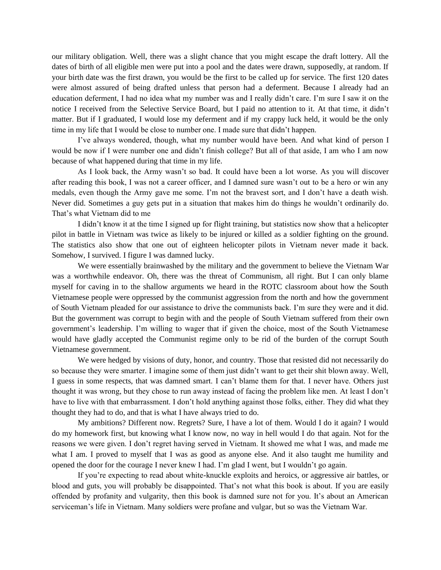our military obligation. Well, there was a slight chance that you might escape the draft lottery. All the dates of birth of all eligible men were put into a pool and the dates were drawn, supposedly, at random. If your birth date was the first drawn, you would be the first to be called up for service. The first 120 dates were almost assured of being drafted unless that person had a deferment. Because I already had an education deferment, I had no idea what my number was and I really didn't care. I'm sure I saw it on the notice I received from the Selective Service Board, but I paid no attention to it. At that time, it didn't matter. But if I graduated, I would lose my deferment and if my crappy luck held, it would be the only time in my life that I would be close to number one. I made sure that didn't happen.

I've always wondered, though, what my number would have been. And what kind of person I would be now if I were number one and didn't finish college? But all of that aside, I am who I am now because of what happened during that time in my life.

As I look back, the Army wasn't so bad. It could have been a lot worse. As you will discover after reading this book, I was not a career officer, and I damned sure wasn't out to be a hero or win any medals, even though the Army gave me some. I'm not the bravest sort, and I don't have a death wish. Never did. Sometimes a guy gets put in a situation that makes him do things he wouldn't ordinarily do. That's what Vietnam did to me

I didn't know it at the time I signed up for flight training, but statistics now show that a helicopter pilot in battle in Vietnam was twice as likely to be injured or killed as a soldier fighting on the ground. The statistics also show that one out of eighteen helicopter pilots in Vietnam never made it back. Somehow, I survived. I figure I was damned lucky.

We were essentially brainwashed by the military and the government to believe the Vietnam War was a worthwhile endeavor. Oh, there was the threat of Communism, all right. But I can only blame myself for caving in to the shallow arguments we heard in the ROTC classroom about how the South Vietnamese people were oppressed by the communist aggression from the north and how the government of South Vietnam pleaded for our assistance to drive the communists back. I'm sure they were and it did. But the government was corrupt to begin with and the people of South Vietnam suffered from their own government's leadership. I'm willing to wager that if given the choice, most of the South Vietnamese would have gladly accepted the Communist regime only to be rid of the burden of the corrupt South Vietnamese government.

We were hedged by visions of duty, honor, and country. Those that resisted did not necessarily do so because they were smarter. I imagine some of them just didn't want to get their shit blown away. Well, I guess in some respects, that was damned smart. I can't blame them for that. I never have. Others just thought it was wrong, but they chose to run away instead of facing the problem like men. At least I don't have to live with that embarrassment. I don't hold anything against those folks, either. They did what they thought they had to do, and that is what I have always tried to do.

My ambitions? Different now. Regrets? Sure, I have a lot of them. Would I do it again? I would do my homework first, but knowing what I know now, no way in hell would I do that again. Not for the reasons we were given. I don't regret having served in Vietnam. It showed me what I was, and made me what I am. I proved to myself that I was as good as anyone else. And it also taught me humility and opened the door for the courage I never knew I had. I'm glad I went, but I wouldn't go again.

If you're expecting to read about white-knuckle exploits and heroics, or aggressive air battles, or blood and guts, you will probably be disappointed. That's not what this book is about. If you are easily offended by profanity and vulgarity, then this book is damned sure not for you. It's about an American serviceman's life in Vietnam. Many soldiers were profane and vulgar, but so was the Vietnam War.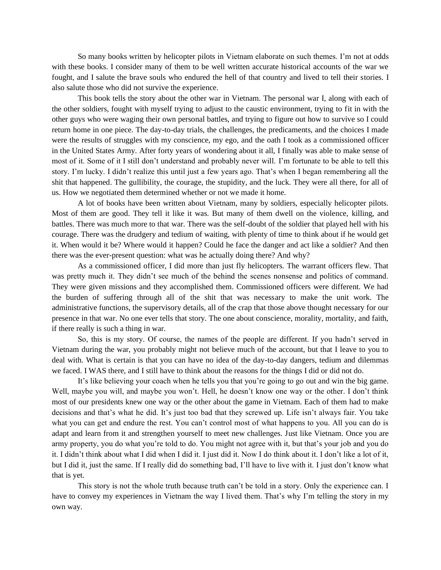So many books written by helicopter pilots in Vietnam elaborate on such themes. I'm not at odds with these books. I consider many of them to be well written accurate historical accounts of the war we fought, and I salute the brave souls who endured the hell of that country and lived to tell their stories. I also salute those who did not survive the experience.

This book tells the story about the other war in Vietnam. The personal war I, along with each of the other soldiers, fought with myself trying to adjust to the caustic environment, trying to fit in with the other guys who were waging their own personal battles, and trying to figure out how to survive so I could return home in one piece. The day-to-day trials, the challenges, the predicaments, and the choices I made were the results of struggles with my conscience, my ego, and the oath I took as a commissioned officer in the United States Army. After forty years of wondering about it all, I finally was able to make sense of most of it. Some of it I still don't understand and probably never will. I'm fortunate to be able to tell this story. I'm lucky. I didn't realize this until just a few years ago. That's when I began remembering all the shit that happened. The gullibility, the courage, the stupidity, and the luck. They were all there, for all of us. How we negotiated them determined whether or not we made it home.

A lot of books have been written about Vietnam, many by soldiers, especially helicopter pilots. Most of them are good. They tell it like it was. But many of them dwell on the violence, killing, and battles. There was much more to that war. There was the self-doubt of the soldier that played hell with his courage. There was the drudgery and tedium of waiting, with plenty of time to think about if he would get it. When would it be? Where would it happen? Could he face the danger and act like a soldier? And then there was the ever-present question: what was he actually doing there? And why?

As a commissioned officer, I did more than just fly helicopters. The warrant officers flew. That was pretty much it. They didn't see much of the behind the scenes nonsense and politics of command. They were given missions and they accomplished them. Commissioned officers were different. We had the burden of suffering through all of the shit that was necessary to make the unit work. The administrative functions, the supervisory details, all of the crap that those above thought necessary for our presence in that war. No one ever tells that story. The one about conscience, morality, mortality, and faith, if there really is such a thing in war.

So, this is my story. Of course, the names of the people are different. If you hadn't served in Vietnam during the war, you probably might not believe much of the account, but that I leave to you to deal with. What is certain is that you can have no idea of the day-to-day dangers, tedium and dilemmas we faced. I WAS there, and I still have to think about the reasons for the things I did or did not do.

It's like believing your coach when he tells you that you're going to go out and win the big game. Well, maybe you will, and maybe you won't. Hell, he doesn't know one way or the other. I don't think most of our presidents knew one way or the other about the game in Vietnam. Each of them had to make decisions and that's what he did. It's just too bad that they screwed up. Life isn't always fair. You take what you can get and endure the rest. You can't control most of what happens to you. All you can do is adapt and learn from it and strengthen yourself to meet new challenges. Just like Vietnam. Once you are army property, you do what you're told to do. You might not agree with it, but that's your job and you do it. I didn't think about what I did when I did it. I just did it. Now I do think about it. I don't like a lot of it, but I did it, just the same. If I really did do something bad, I'll have to live with it. I just don't know what that is yet.

This story is not the whole truth because truth can't be told in a story. Only the experience can. I have to convey my experiences in Vietnam the way I lived them. That's why I'm telling the story in my own way.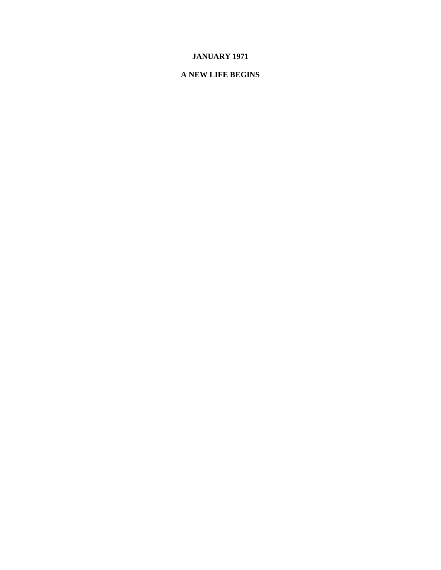## **JANUARY 1971**

### **A NEW LIFE BEGINS**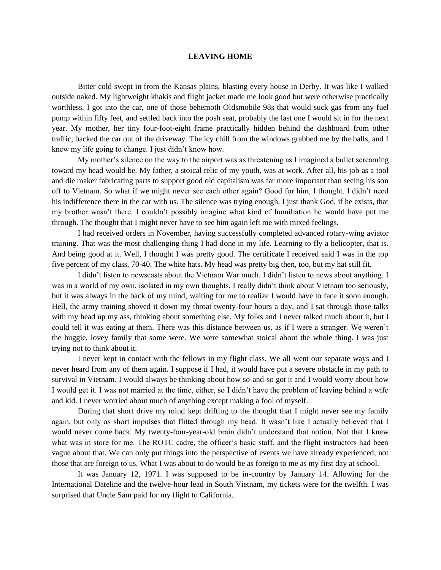#### **LEAVING HOME**

Bitter cold swept in from the Kansas plains, blasting every house in Derby. It was like I walked outside naked. My lightweight khakis and flight jacket made me look good but were otherwise practically worthless. I got into the car, one of those behemoth Oldsmobile 98s that would suck gas from any fuel pump within fifty feet, and settled back into the posh seat, probably the last one I would sit in for the next year. My mother, her tiny four-foot-eight frame practically hidden behind the dashboard from other traffic, backed the car out of the driveway. The icy chill from the windows grabbed me by the balls, and I knew my life going to change. I just didn't know how.

My mother's silence on the way to the airport was as threatening as I imagined a bullet screaming toward my head would be. My father, a stoical relic of my youth, was at work. After all, his job as a tool and die maker fabricating parts to support good old capitalism was far more important than seeing his son off to Vietnam. So what if we might never see each other again? Good for him, I thought. I didn't need his indifference there in the car with us. The silence was trying enough. I just thank God, if he exists, that my brother wasn't there. I couldn't possibly imagine what kind of humiliation he would have put me through. The thought that I might never have to see him again left me with mixed feelings.

I had received orders in November, having successfully completed advanced rotary-wing aviator training. That was the most challenging thing I had done in my life. Learning to fly a helicopter, that is. And being good at it. Well, I thought I was pretty good. The certificate I received said I was in the top five percent of my class, 70-40. The white hats. My head was pretty big then, too, but my hat still fit.

I didn't listen to newscasts about the Vietnam War much. I didn't listen to news about anything. I was in a world of my own, isolated in my own thoughts. I really didn't think about Vietnam too seriously, but it was always in the back of my mind, waiting for me to realize I would have to face it soon enough. Hell, the army training shoved it down my throat twenty-four hours a day, and I sat through those talks with my head up my ass, thinking about something else. My folks and I never talked much about it, but I could tell it was eating at them. There was this distance between us, as if I were a stranger. We weren't the huggie, lovey family that some were. We were somewhat stoical about the whole thing. I was just trying not to think about it.

I never kept in contact with the fellows in my flight class. We all went our separate ways and I never heard from any of them again. I suppose if I had, it would have put a severe obstacle in my path to survival in Vietnam. I would always be thinking about how so-and-so got it and I would worry about how I would get it. I was not married at the time, either, so I didn't have the problem of leaving behind a wife and kid. I never worried about much of anything except making a fool of myself.

During that short drive my mind kept drifting to the thought that I might never see my family again, but only as short impulses that flitted through my head. It wasn't like I actually believed that I would never come back. My twenty-four-year-old brain didn't understand that notion. Not that I knew what was in store for me. The ROTC cadre, the officer's basic staff, and the flight instructors had been vague about that. We can only put things into the perspective of events we have already experienced, not those that are foreign to us. What I was about to do would be as foreign to me as my first day at school.

It was January 12, 1971. I was supposed to be in-country by January 14. Allowing for the International Dateline and the twelve-hour lead in South Vietnam, my tickets were for the twelfth. I was surprised that Uncle Sam paid for my flight to California.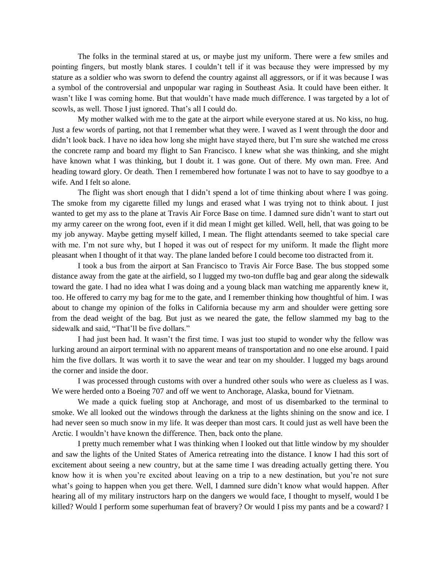The folks in the terminal stared at us, or maybe just my uniform. There were a few smiles and pointing fingers, but mostly blank stares. I couldn't tell if it was because they were impressed by my stature as a soldier who was sworn to defend the country against all aggressors, or if it was because I was a symbol of the controversial and unpopular war raging in Southeast Asia. It could have been either. It wasn't like I was coming home. But that wouldn't have made much difference. I was targeted by a lot of scowls, as well. Those I just ignored. That's all I could do.

My mother walked with me to the gate at the airport while everyone stared at us. No kiss, no hug. Just a few words of parting, not that I remember what they were. I waved as I went through the door and didn't look back. I have no idea how long she might have stayed there, but I'm sure she watched me cross the concrete ramp and board my flight to San Francisco. I knew what she was thinking, and she might have known what I was thinking, but I doubt it. I was gone. Out of there. My own man. Free. And heading toward glory. Or death. Then I remembered how fortunate I was not to have to say goodbye to a wife. And I felt so alone.

The flight was short enough that I didn't spend a lot of time thinking about where I was going. The smoke from my cigarette filled my lungs and erased what I was trying not to think about. I just wanted to get my ass to the plane at Travis Air Force Base on time. I damned sure didn't want to start out my army career on the wrong foot, even if it did mean I might get killed. Well, hell, that was going to be my job anyway. Maybe getting myself killed, I mean. The flight attendants seemed to take special care with me. I'm not sure why, but I hoped it was out of respect for my uniform. It made the flight more pleasant when I thought of it that way. The plane landed before I could become too distracted from it.

I took a bus from the airport at San Francisco to Travis Air Force Base. The bus stopped some distance away from the gate at the airfield, so I lugged my two-ton duffle bag and gear along the sidewalk toward the gate. I had no idea what I was doing and a young black man watching me apparently knew it, too. He offered to carry my bag for me to the gate, and I remember thinking how thoughtful of him. I was about to change my opinion of the folks in California because my arm and shoulder were getting sore from the dead weight of the bag. But just as we neared the gate, the fellow slammed my bag to the sidewalk and said, "That'll be five dollars."

I had just been had. It wasn't the first time. I was just too stupid to wonder why the fellow was lurking around an airport terminal with no apparent means of transportation and no one else around. I paid him the five dollars. It was worth it to save the wear and tear on my shoulder. I lugged my bags around the corner and inside the door.

I was processed through customs with over a hundred other souls who were as clueless as I was. We were herded onto a Boeing 707 and off we went to Anchorage, Alaska, bound for Vietnam.

We made a quick fueling stop at Anchorage, and most of us disembarked to the terminal to smoke. We all looked out the windows through the darkness at the lights shining on the snow and ice. I had never seen so much snow in my life. It was deeper than most cars. It could just as well have been the Arctic. I wouldn't have known the difference. Then, back onto the plane.

I pretty much remember what I was thinking when I looked out that little window by my shoulder and saw the lights of the United States of America retreating into the distance. I know I had this sort of excitement about seeing a new country, but at the same time I was dreading actually getting there. You know how it is when you're excited about leaving on a trip to a new destination, but you're not sure what's going to happen when you get there. Well, I damned sure didn't know what would happen. After hearing all of my military instructors harp on the dangers we would face, I thought to myself, would I be killed? Would I perform some superhuman feat of bravery? Or would I piss my pants and be a coward? I